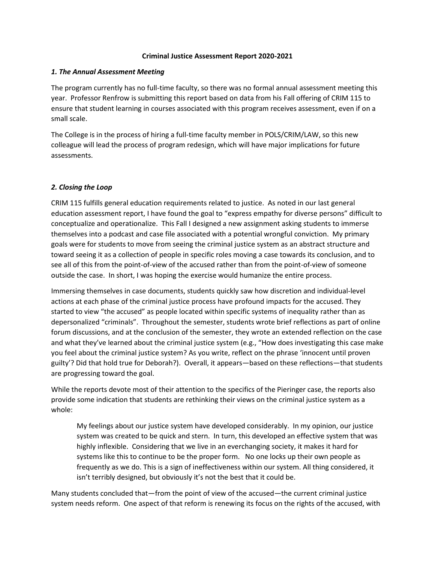#### **Criminal Justice Assessment Report 2020-2021**

### *1. The Annual Assessment Meeting*

The program currently has no full-time faculty, so there was no formal annual assessment meeting this year. Professor Renfrow is submitting this report based on data from his Fall offering of CRIM 115 to ensure that student learning in courses associated with this program receives assessment, even if on a small scale.

The College is in the process of hiring a full-time faculty member in POLS/CRIM/LAW, so this new colleague will lead the process of program redesign, which will have major implications for future assessments.

### *2. Closing the Loop*

CRIM 115 fulfills general education requirements related to justice. As noted in our last general education assessment report, I have found the goal to "express empathy for diverse persons" difficult to conceptualize and operationalize. This Fall I designed a new assignment asking students to immerse themselves into a podcast and case file associated with a potential wrongful conviction. My primary goals were for students to move from seeing the criminal justice system as an abstract structure and toward seeing it as a collection of people in specific roles moving a case towards its conclusion, and to see all of this from the point-of-view of the accused rather than from the point-of-view of someone outside the case. In short, I was hoping the exercise would humanize the entire process.

Immersing themselves in case documents, students quickly saw how discretion and individual-level actions at each phase of the criminal justice process have profound impacts for the accused. They started to view "the accused" as people located within specific systems of inequality rather than as depersonalized "criminals". Throughout the semester, students wrote brief reflections as part of online forum discussions, and at the conclusion of the semester, they wrote an extended reflection on the case and what they've learned about the criminal justice system (e.g., "How does investigating this case make you feel about the criminal justice system? As you write, reflect on the phrase 'innocent until proven guilty'? Did that hold true for Deborah?). Overall, it appears—based on these reflections—that students are progressing toward the goal.

While the reports devote most of their attention to the specifics of the Pieringer case, the reports also provide some indication that students are rethinking their views on the criminal justice system as a whole:

My feelings about our justice system have developed considerably. In my opinion, our justice system was created to be quick and stern. In turn, this developed an effective system that was highly inflexible. Considering that we live in an everchanging society, it makes it hard for systems like this to continue to be the proper form. No one locks up their own people as frequently as we do. This is a sign of ineffectiveness within our system. All thing considered, it isn't terribly designed, but obviously it's not the best that it could be.

Many students concluded that—from the point of view of the accused—the current criminal justice system needs reform. One aspect of that reform is renewing its focus on the rights of the accused, with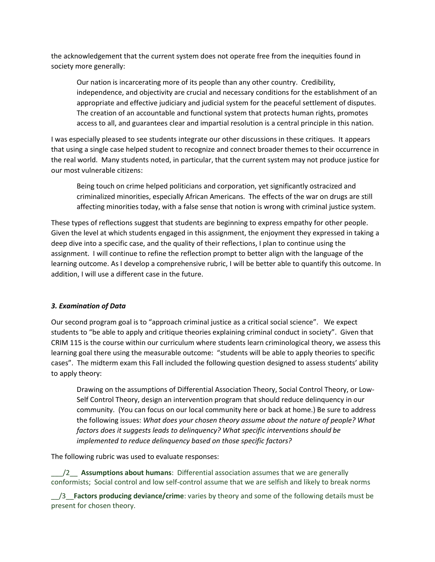the acknowledgement that the current system does not operate free from the inequities found in society more generally:

Our nation is incarcerating more of its people than any other country. Credibility, independence, and objectivity are crucial and necessary conditions for the establishment of an appropriate and effective judiciary and judicial system for the peaceful settlement of disputes. The creation of an accountable and functional system that protects human rights, promotes access to all, and guarantees clear and impartial resolution is a central principle in this nation.

I was especially pleased to see students integrate our other discussions in these critiques. It appears that using a single case helped student to recognize and connect broader themes to their occurrence in the real world. Many students noted, in particular, that the current system may not produce justice for our most vulnerable citizens:

Being touch on crime helped politicians and corporation, yet significantly ostracized and criminalized minorities, especially African Americans. The effects of the war on drugs are still affecting minorities today, with a false sense that notion is wrong with criminal justice system.

These types of reflections suggest that students are beginning to express empathy for other people. Given the level at which students engaged in this assignment, the enjoyment they expressed in taking a deep dive into a specific case, and the quality of their reflections, I plan to continue using the assignment. I will continue to refine the reflection prompt to better align with the language of the learning outcome. As I develop a comprehensive rubric, I will be better able to quantify this outcome. In addition, I will use a different case in the future.

### *3. Examination of Data*

Our second program goal is to "approach criminal justice as a critical social science". We expect students to "be able to apply and critique theories explaining criminal conduct in society". Given that CRIM 115 is the course within our curriculum where students learn criminological theory, we assess this learning goal there using the measurable outcome: "students will be able to apply theories to specific cases". The midterm exam this Fall included the following question designed to assess students' ability to apply theory:

Drawing on the assumptions of Differential Association Theory, Social Control Theory, or Low-Self Control Theory, design an intervention program that should reduce delinquency in our community. (You can focus on our local community here or back at home.) Be sure to address the following issues: *What does your chosen theory assume about the nature of people? What factors does it suggests leads to delinquency? What specific interventions should be implemented to reduce delinquency based on those specific factors?* 

The following rubric was used to evaluate responses:

\_\_\_/2\_\_ **Assumptions about humans**: Differential association assumes that we are generally conformists; Social control and low self-control assume that we are selfish and likely to break norms

\_\_/3\_\_**Factors producing deviance/crime**: varies by theory and some of the following details must be present for chosen theory.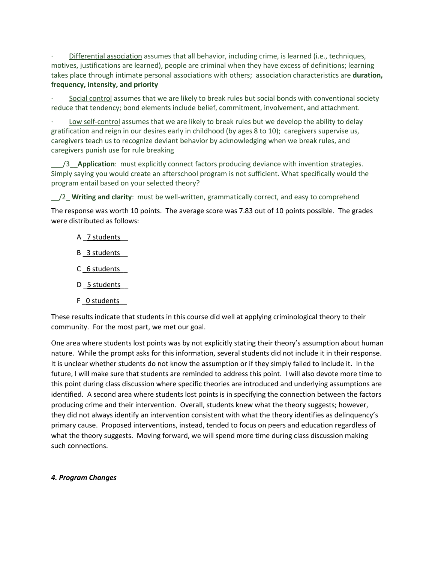· Differential association assumes that all behavior, including crime, is learned (i.e., techniques, motives, justifications are learned), people are criminal when they have excess of definitions; learning takes place through intimate personal associations with others; association characteristics are **duration, frequency, intensity, and priority**

Social control assumes that we are likely to break rules but social bonds with conventional society reduce that tendency; bond elements include belief, commitment, involvement, and attachment.

Low self-control assumes that we are likely to break rules but we develop the ability to delay gratification and reign in our desires early in childhood (by ages 8 to 10); caregivers supervise us, caregivers teach us to recognize deviant behavior by acknowledging when we break rules, and caregivers punish use for rule breaking

\_\_\_/3\_\_**Application**: must explicitly connect factors producing deviance with invention strategies. Simply saying you would create an afterschool program is not sufficient. What specifically would the program entail based on your selected theory?

\_\_/2\_ **Writing and clarity**: must be well-written, grammatically correct, and easy to comprehend

The response was worth 10 points. The average score was 7.83 out of 10 points possible. The grades were distributed as follows:

- A \_7 students
- B \_3 students\_\_
- C 6 students
- D 5 students
- F 0 students

These results indicate that students in this course did well at applying criminological theory to their community. For the most part, we met our goal.

One area where students lost points was by not explicitly stating their theory's assumption about human nature. While the prompt asks for this information, several students did not include it in their response. It is unclear whether students do not know the assumption or if they simply failed to include it. In the future, I will make sure that students are reminded to address this point. I will also devote more time to this point during class discussion where specific theories are introduced and underlying assumptions are identified. A second area where students lost points is in specifying the connection between the factors producing crime and their intervention. Overall, students knew what the theory suggests; however, they did not always identify an intervention consistent with what the theory identifies as delinquency's primary cause. Proposed interventions, instead, tended to focus on peers and education regardless of what the theory suggests. Moving forward, we will spend more time during class discussion making such connections.

# *4. Program Changes*